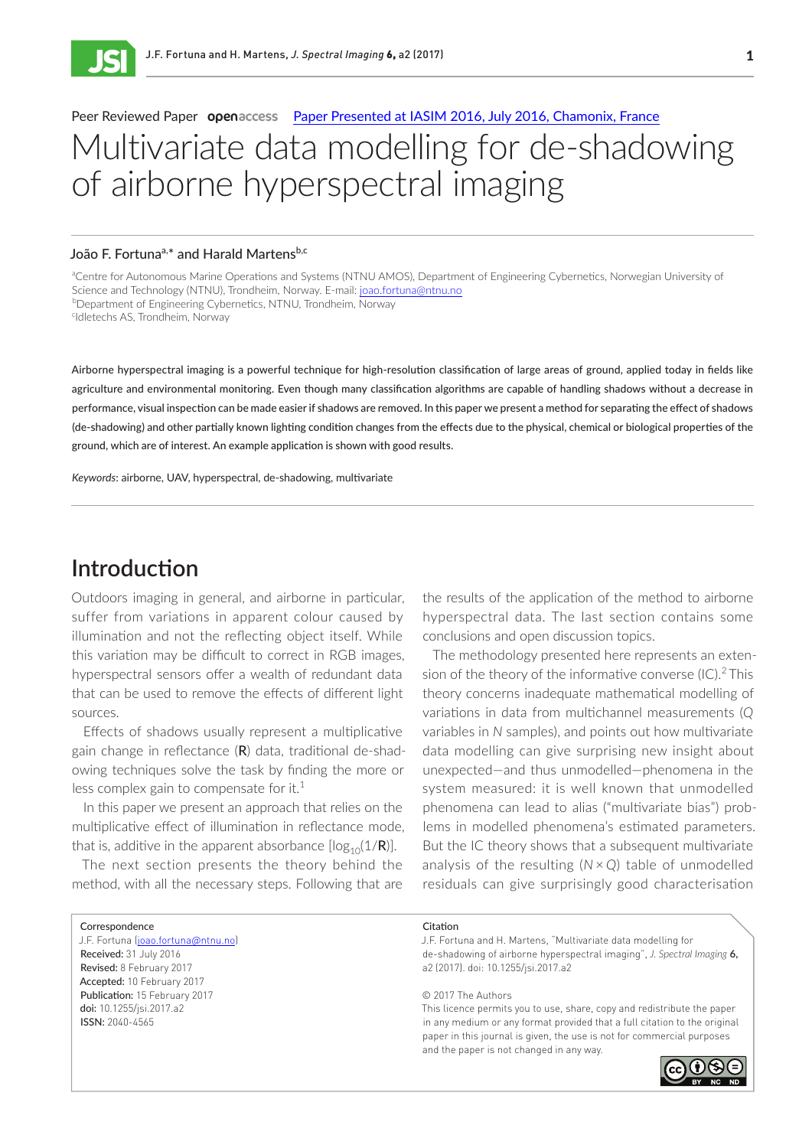ISSN 2040-4565

### tyiuiuvan. Peer Reviewed Paper **open**access [Paper Presented at IASIM 2016, July 2016, Chamonix, France](https://www.impublications.com/mjsi/jsi-vi-toc.php?issue=V_IASIM-2016) **I**<br>I Multivariate data modelling for de-shadowing of airborne hyperspectral imaging

#### João F. Fortuna<sup>a,\*</sup> and Harald Martens<sup>b,c</sup>

aCentre for Autonomous Marine Operations and Systems (NTNU AMOS), Department of Engineering Cybernetics, Norwegian University of Science and Technology (NTNU), Trondheim, Norway. E-mail: [joao.fortuna@ntnu.no](mailto:joao.fortuna%40ntnu.no?subject=) b Department of Engineering Cybernetics, NTNU, Trondheim, Norway <sup>c</sup>Idletechs AS, Trondheim, Norway

Airborne hyperspectral imaging is a powerful technique for high-resolution classification of large areas of ground, applied today in fields like agriculture and environmental monitoring. Even though many classification algorithms are capable of handling shadows without a decrease in performance, visual inspection can be made easier if shadows are removed. In this paper we present a method for separating the effect of shadows (de-shadowing) and other partially known lighting condition changes from the effects due to the physical, chemical or biological properties of the ground, which are of interest. An example application is shown with good results.

*Keywords*: airborne, UAV, hyperspectral, de-shadowing, multivariate

# **Introduction**

Outdoors imaging in general, and airborne in particular, suffer from variations in apparent colour caused by illumination and not the reflecting object itself. While this variation may be difficult to correct in RGB images, hyperspectral sensors offer a wealth of redundant data that can be used to remove the effects of different light sources.

Effects of shadows usually represent a multiplicative gain change in reflectance  $(R)$  data, traditional de-shadowing techniques solve the task by finding the more or less complex gain to compensate for it.<sup>1</sup>

In this paper we present an approach that relies on the multiplicative effect of illumination in reflectance mode, that is, additive in the apparent absorbance  $[log_{10}(1/R)]$ .

The next section presents the theory behind the method, with all the necessary steps. Following that are the results of the application of the method to airborne hyperspectral data. The last section contains some conclusions and open discussion topics.

The methodology presented here represents an extension of the theory of the informative converse  $(IC).<sup>2</sup>$ This theory concerns inadequate mathematical modelling of variations in data from multichannel measurements (*Q* variables in *N* samples), and points out how multivariate data modelling can give surprising new insight about unexpected—and thus unmodelled—phenomena in the system measured: it is well known that unmodelled phenomena can lead to alias ("multivariate bias") problems in modelled phenomena's estimated parameters. But the IC theory shows that a subsequent multivariate analysis of the resulting (*N* × *Q*) table of unmodelled residuals can give surprisingly good characterisation

| Correspondence                      | Citation                                                                  |
|-------------------------------------|---------------------------------------------------------------------------|
| J.F. Fortuna (joao.fortuna@ntnu.no) | J.F. Fortuna and H. Martens, "Multivariate data modelling for             |
| Received: 31 July 2016              | de-shadowing of airborne hyperspectral imaging", J. Spectral Imaging 6,   |
| Revised: 8 February 2017            | a2 (2017). doi: 10.1255/jsi.2017.a2                                       |
| Accepted: 10 February 2017          |                                                                           |
| Publication: 15 February 2017       | © 2017 The Authors                                                        |
| doi: 10.1255/jsi.2017.a2            | This licence permits you to use, share, copy and redistribute the paper   |
| <b>ISSN: 2040-4565</b>              | in any medium or any format provided that a full citation to the original |
|                                     | paper in this journal is given, the use is not for commercial purposes    |

and the paper is not changed in any way.

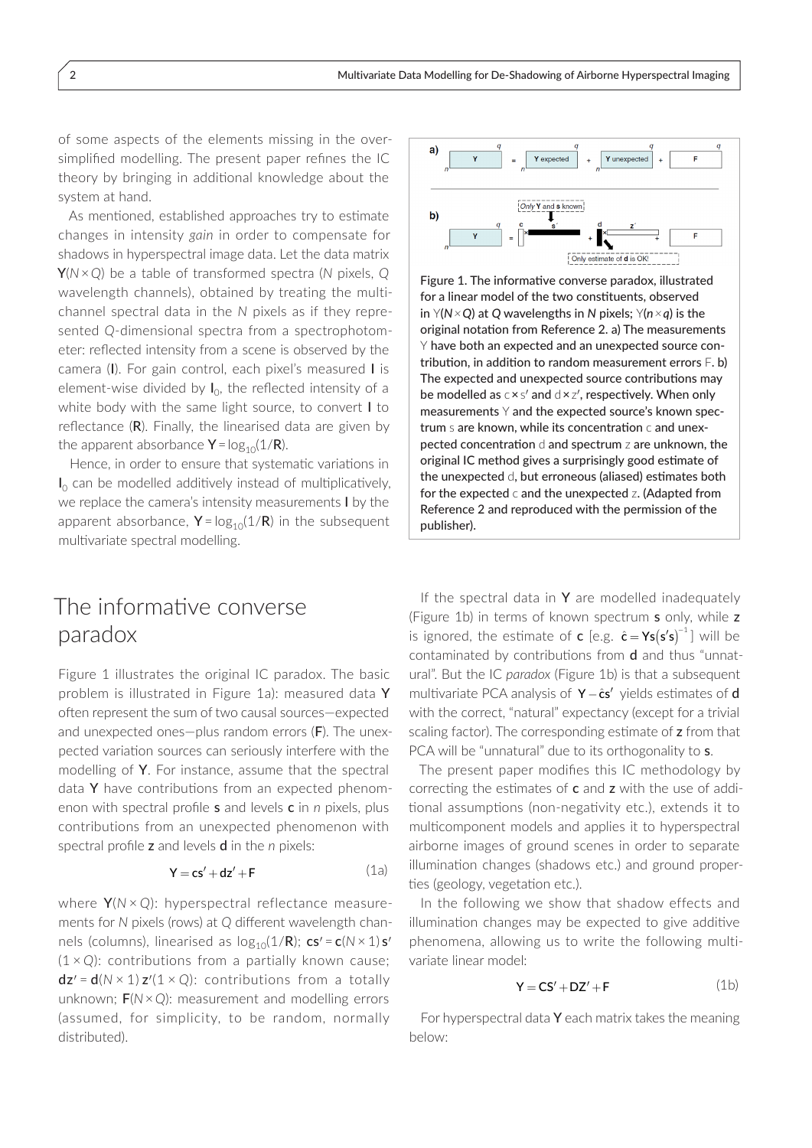of some aspects of the elements missing in the oversimplified modelling. The present paper refines the IC theory by bringing in additional knowledge about the system at hand.

As mentioned, established approaches try to estimate changes in intensity *gain* in order to compensate for shadows in hyperspectral image data. Let the data matrix Y(*N* × *Q*) be a table of transformed spectra (*N* pixels, *Q* wavelength channels), obtained by treating the multichannel spectral data in the *N* pixels as if they represented *Q*-dimensional spectra from a spectrophotometer: reflected intensity from a scene is observed by the camera (I). For gain control, each pixel's measured I is element-wise divided by  $I_0$ , the reflected intensity of a white body with the same light source, to convert I to reflectance  $(R)$ . Finally, the linearised data are given by the apparent absorbance  $Y = log_{10}(1/R)$ .

Hence, in order to ensure that systematic variations in  $I_0$  can be modelled additively instead of multiplicatively, we replace the camera's intensity measurements I by the apparent absorbance,  $Y = log_{10}(1/R)$  in the subsequent multivariate spectral modelling.

# Y expected Y unexpected b) ---------<br>ate of **d** is OK

Figure 1. The informative converse paradox, illustrated for a linear model of the two constituents, observed in Y(*N × Q*) at *Q* wavelengths in *N* pixels; Y(*n ×q*) is the original notation from Reference 2. a) The measurements Y have both an expected and an unexpected source contribution, in addition to random measurement errors F. b) The expected and unexpected source contributions may be modelled as  $c \times s'$  and  $d \times z'$ , respectively. When only measurements  $Y$  and the expected source's known spectrum s are known, while its concentration c and unexpected concentration d and spectrum z are unknown, the original IC method gives a surprisingly good estimate of the unexpected d, but erroneous (aliased) estimates both for the expected c and the unexpected z. (Adapted from Reference 2 and reproduced with the permission of the publisher).

# The informative converse paradox

Figure 1 illustrates the original IC paradox. The basic problem is illustrated in Figure 1a): measured data Y often represent the sum of two causal sources—expected and unexpected ones—plus random errors (F). The unexpected variation sources can seriously interfere with the modelling of Y. For instance, assume that the spectral data Y have contributions from an expected phenomenon with spectral profile s and levels c in *n* pixels, plus contributions from an unexpected phenomenon with spectral profile z and levels d in the *n* pixels:

$$
Y = cs' + dz' + F \tag{1a}
$$

where Y(*N* × *Q*): hyperspectral reflectance measurements for *N* pixels (rows) at *Q* different wavelength channels (columns), linearised as  $log_{10}(1/R)$ ; cs<sup>*'*</sup> = c( $N \times 1$ ) s' (1 × *Q*): contributions from a partially known cause;  $dz' = d(N \times 1)z'(1 \times Q)$ : contributions from a totally unknown; F(*N* × *Q*): measurement and modelling errors (assumed, for simplicity, to be random, normally distributed).

If the spectral data in  $Y$  are modelled inadequately (Figure 1b) in terms of known spectrum s only, while z is ignored, the estimate of **c** [e.g.  $\hat{\mathbf{c}} = \mathbf{Y}\mathbf{s}(\mathbf{s}'\mathbf{s})^{-1}$ ] will be contaminated by contributions from d and thus "unnatural". But the IC *paradox* (Figure 1b) is that a subsequent multivariate PCA analysis of  $Y - \hat{c} s'$  yields estimates of d with the correct, "natural" expectancy (except for a trivial scaling factor). The corresponding estimate of z from that PCA will be "unnatural" due to its orthogonality to s.

The present paper modifies this IC methodology by correcting the estimates of  $c$  and  $z$  with the use of additional assumptions (non-negativity etc.), extends it to multicomponent models and applies it to hyperspectral airborne images of ground scenes in order to separate illumination changes (shadows etc.) and ground properties (geology, vegetation etc.).

In the following we show that shadow effects and illumination changes may be expected to give additive phenomena, allowing us to write the following multivariate linear model:

$$
Y = CS' + DZ' + F
$$
 (1b)

For hyperspectral data  $Y$  each matrix takes the meaning below: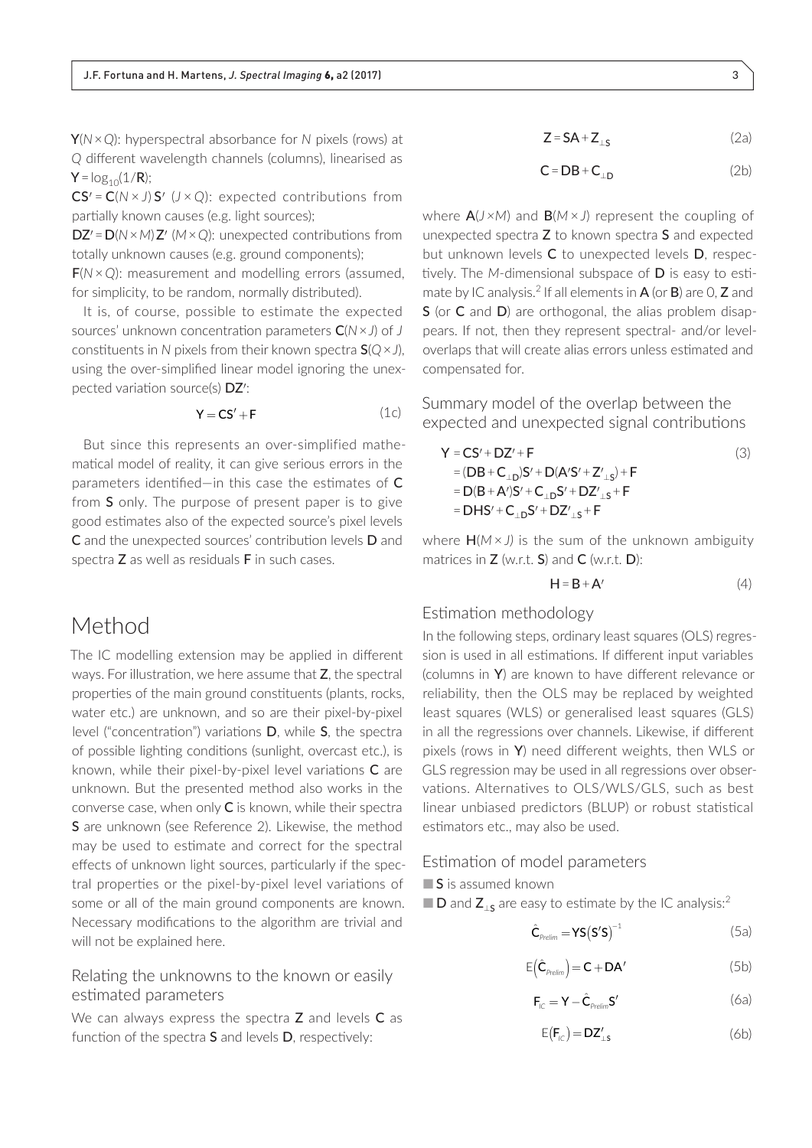Y(*N* × *Q*): hyperspectral absorbance for *N* pixels (rows) at *Q* different wavelength channels (columns), linearised as  $Y = log_{10}(1/R);$ 

CS¢ = C(*N* × *J*) S¢ (*J* × *Q*): expected contributions from partially known causes (e.g. light sources);

DZ¢ = D(*N* × *M*) Z¢ (*M* × *Q*): unexpected contributions from totally unknown causes (e.g. ground components);

F(*N* × *Q*): measurement and modelling errors (assumed, for simplicity, to be random, normally distributed).

It is, of course, possible to estimate the expected sources' unknown concentration parameters C(*N* × *J*) of *J* constituents in *N* pixels from their known spectra S(*Q* × *J*), using the over-simplified linear model ignoring the unexpected variation source(s) DZ':

$$
Y = CS' + F \tag{1c}
$$

But since this represents an over-simplified mathematical model of reality, it can give serious errors in the parameters identified—in this case the estimates of C from S only. The purpose of present paper is to give good estimates also of the expected source's pixel levels C and the unexpected sources' contribution levels D and spectra Z as well as residuals F in such cases.

### Method

The IC modelling extension may be applied in different ways. For illustration, we here assume that Z, the spectral properties of the main ground constituents (plants, rocks, water etc.) are unknown, and so are their pixel-by-pixel level ("concentration") variations D, while S, the spectra of possible lighting conditions (sunlight, overcast etc.), is known, while their pixel-by-pixel level variations C are unknown. But the presented method also works in the converse case, when only C is known, while their spectra S are unknown (see Reference 2). Likewise, the method may be used to estimate and correct for the spectral effects of unknown light sources, particularly if the spectral properties or the pixel-by-pixel level variations of some or all of the main ground components are known. Necessary modifications to the algorithm are trivial and will not be explained here.

### Relating the unknowns to the known or easily estimated parameters

We can always express the spectra Z and levels C as function of the spectra S and levels D, respectively:

$$
Z = SA + Z_{\perp S} \tag{2a}
$$

$$
C = DB + C_{\perp D} \tag{2b}
$$

where A(*J ×M*) and B(*M* × *J*) represent the coupling of unexpected spectra Z to known spectra S and expected but unknown levels C to unexpected levels D, respectively. The *M*-dimensional subspace of D is easy to estimate by IC analysis.<sup>2</sup> If all elements in  $A$  (or  $B$ ) are 0,  $Z$  and S (or C and D) are orthogonal, the alias problem disappears. If not, then they represent spectral- and/or leveloverlaps that will create alias errors unless estimated and compensated for.

Summary model of the overlap between the expected and unexpected signal contributions

$$
Y = CS' + DZ' + F
$$
\n
$$
= (DB + C_{\perp D})S' + D(A'S' + Z'_{\perp S}) + F
$$
\n
$$
= D(B + A')S' + C_{\perp D}S' + DZ'_{\perp S} + F
$$
\n
$$
= DHS' + C_{\perp D}S' + DZ'_{\perp S} + F
$$
\n(3)

where H(*M* × *J)* is the sum of the unknown ambiguity matrices in  $Z$  (w.r.t.  $S$ ) and  $C$  (w.r.t.  $D$ ):

$$
H = B + A'
$$
 (4)

#### Estimation methodology

In the following steps, ordinary least squares (OLS) regression is used in all estimations. If different input variables (columns in Y) are known to have different relevance or reliability, then the OLS may be replaced by weighted least squares (WLS) or generalised least squares (GLS) in all the regressions over channels. Likewise, if different pixels (rows in Y) need different weights, then WLS or GLS regression may be used in all regressions over observations. Alternatives to OLS/WLS/GLS, such as best linear unbiased predictors (BLUP) or robust statistical estimators etc., may also be used.

#### Estimation of model parameters

■ S is assumed known

 $\blacksquare$  **D** and **Z**<sub>s</sub> are easy to estimate by the IC analysis:<sup>2</sup>

$$
\hat{\mathbf{C}}_{\text{Prelim}} = \mathbf{YS} (\mathbf{S}'\mathbf{S})^{-1} \tag{5a}
$$

$$
E(\hat{C}_{\text{Prelim}}) = C + DA'
$$
 (5b)

$$
\mathbf{F}_{\text{IC}} = \mathbf{Y} - \hat{\mathbf{C}}_{\text{Prelim}} \mathbf{S}' \tag{6a}
$$

$$
E(\mathbf{F}_{\text{IC}}) = \mathbf{DZ}_{\perp s}' \tag{6b}
$$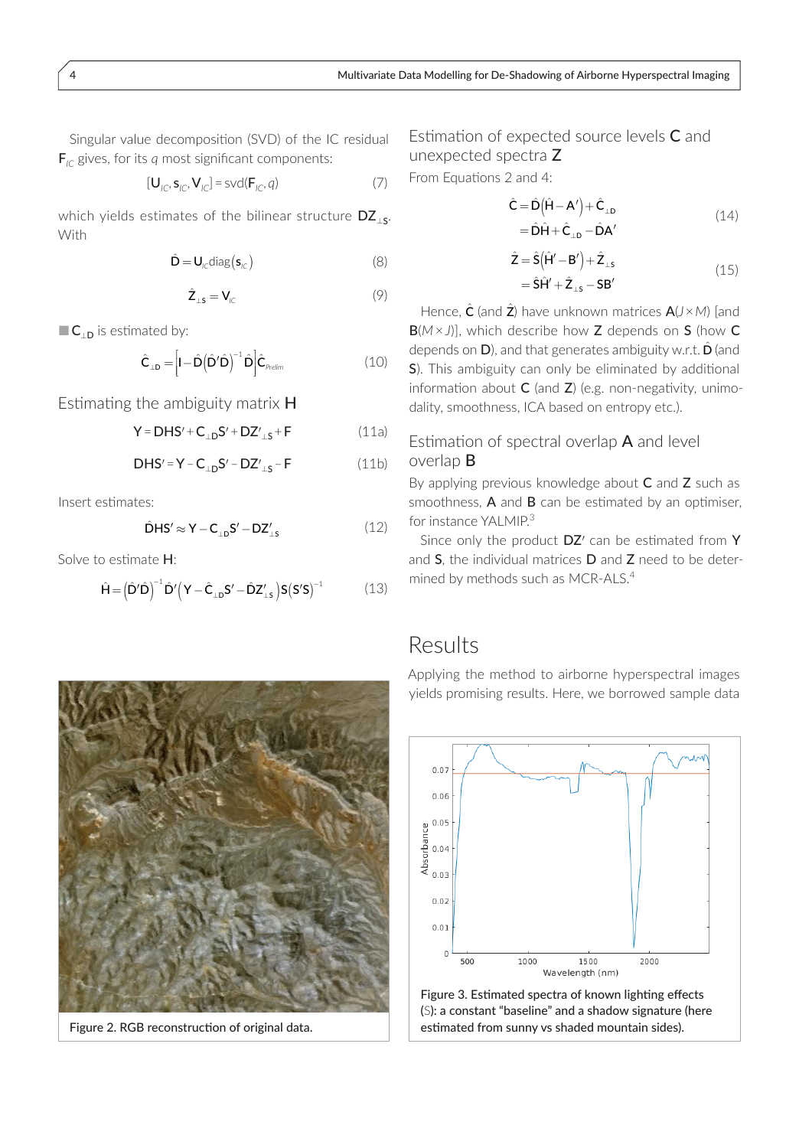Singular value decomposition (SVD) of the IC residual  $\mathbf{F}_{i\text{C}}$  gives, for its q most significant components:

$$
[\mathbf{U}_{\text{IC}}, \mathbf{s}_{\text{IC}}, \mathbf{V}_{\text{IC}}] = \text{svd}(\mathbf{F}_{\text{IC}}, q) \tag{7}
$$

which yields estimates of the bilinear structure  $DZ_{15}$ . With

$$
\hat{\mathbf{D}} = \mathbf{U}_{\text{IC}} \text{diag}(\mathbf{s}_{\text{IC}})
$$
 (8)

$$
\hat{\mathbf{Z}}_{\perp \mathbf{s}} = \mathbf{V}_{\text{IC}} \tag{9}
$$

 $\blacksquare$  C<sub>1D</sub> is estimated by:

$$
\hat{\mathbf{C}}_{\perp \mathbf{D}} = \left[ \mathbf{I} - \hat{\mathbf{D}} \left( \hat{\mathbf{D}}' \hat{\mathbf{D}} \right)^{-1} \hat{\mathbf{D}} \right] \hat{\mathbf{C}}_{\text{Prelim}} \tag{10}
$$

Estimating the ambiguity matrix H

 $Y = DHS' + C_{LD}S' + DZ'_{LS} + F$  $(11a)$ 

 $DHS' = Y - C_{1D}S' - DZ'_{1S} - F$  $(11b)$ 

Insert estimates:

$$
\hat{\mathbf{D}}\mathbf{H}\mathbf{S}' \approx \mathbf{Y} - \mathbf{C}_{\perp\mathbf{D}}\mathbf{S}' - \mathbf{D}\mathbf{Z}'_{\perp\mathbf{S}} \tag{12}
$$

Solve to estimate H:

$$
\hat{\mathbf{H}} = \left(\hat{\mathbf{D}}'\hat{\mathbf{D}}\right)^{-1}\hat{\mathbf{D}}'\left(\mathbf{Y} - \hat{\mathbf{C}}_{\perp\mathbf{D}}\mathbf{S}' - \hat{\mathbf{D}}\mathbf{Z}'_{\perp\mathbf{S}}\right)\mathbf{S}\left(\mathbf{S}'\mathbf{S}\right)^{-1} \tag{13}
$$

Estimation of expected source levels C and unexpected spectra Z

From Equations 2 and 4:

$$
\hat{C} = \hat{D}(\hat{H} - A') + \hat{C}_{\perp D}
$$
  
=  $\hat{D}\hat{H} + \hat{C}_{\perp D} - \hat{D}A'$  (14)

$$
\begin{aligned} \hat{\mathsf{Z}} &= \hat{\mathsf{S}} \big( \hat{\mathsf{H}}' - \mathsf{B}' \big) + \hat{\mathsf{Z}}_{\perp \mathsf{s}} \\ &= \hat{\mathsf{S}} \hat{\mathsf{H}}' + \hat{\mathsf{Z}}_{\perp \mathsf{s}} - \mathsf{S} \mathsf{B}' \end{aligned} \tag{15}
$$

Hence,  $\hat{C}$  (and  $\hat{Z}$ ) have unknown matrices  $A/J \times M$ ) [and  $B(M \times J)$ ], which describe how Z depends on S (how C depends on  $D$ ), and that generates ambiguity w.r.t.  $\hat{D}$  (and S). This ambiguity can only be eliminated by additional information about C (and Z) (e.g. non-negativity, unimodality, smoothness, ICA based on entropy etc.).

### Estimation of spectral overlap  $A$  and level overlap  $B$

By applying previous knowledge about C and Z such as smoothness,  $A$  and  $B$  can be estimated by an optimiser, for instance YALMIP.<sup>3</sup>

Since only the product DZ' can be estimated from Y and S, the individual matrices D and Z need to be determined by methods such as MCR-ALS.<sup>4</sup>

### Results

Applying the method to airborne hyperspectral images yields promising results. Here, we borrowed sample data



Figure 3. Estimated spectra of known lighting effects (S): a constant "baseline" and a shadow signature (here estimated from sunny vs shaded mountain sides).



Figure 2. RGB reconstruction of original data.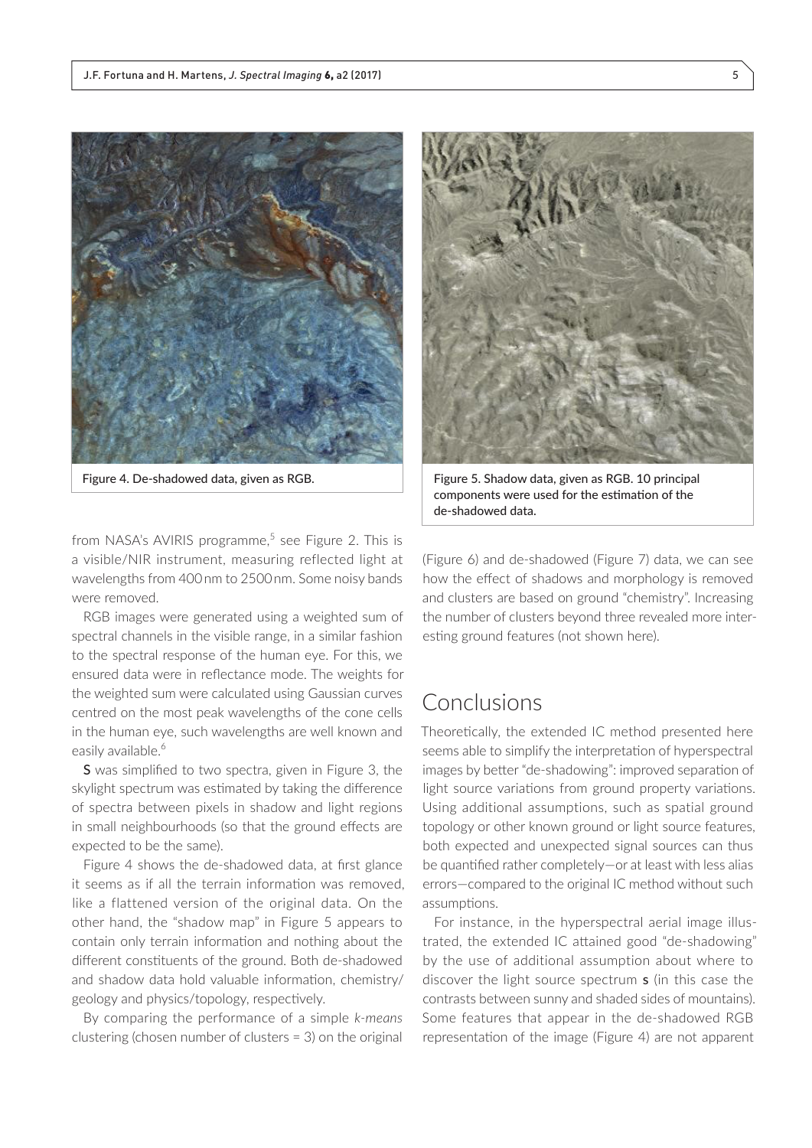



Figure 4. De-shadowed data, given as RGB. Figure 5. Shadow data, given as RGB. 10 principal components were used for the estimation of the de-shadowed data.

from NASA's AVIRIS programme,<sup>5</sup> see Figure 2. This is a visible/NIR instrument, measuring reflected light at wavelengths from 400 nm to 2500nm. Some noisy bands were removed.

RGB images were generated using a weighted sum of spectral channels in the visible range, in a similar fashion to the spectral response of the human eye. For this, we ensured data were in reflectance mode. The weights for the weighted sum were calculated using Gaussian curves centred on the most peak wavelengths of the cone cells in the human eye, such wavelengths are well known and easily available.<sup>6</sup>

S was simplified to two spectra, given in Figure 3, the skylight spectrum was estimated by taking the difference of spectra between pixels in shadow and light regions in small neighbourhoods (so that the ground effects are expected to be the same).

Figure 4 shows the de-shadowed data, at first glance it seems as if all the terrain information was removed, like a flattened version of the original data. On the other hand, the "shadow map" in Figure 5 appears to contain only terrain information and nothing about the different constituents of the ground. Both de-shadowed and shadow data hold valuable information, chemistry/ geology and physics/topology, respectively.

By comparing the performance of a simple *k-means* clustering (chosen number of clusters = 3) on the original

(Figure 6) and de-shadowed (Figure 7) data, we can see how the effect of shadows and morphology is removed and clusters are based on ground "chemistry". Increasing the number of clusters beyond three revealed more interesting ground features (not shown here).

### Conclusions

Theoretically, the extended IC method presented here seems able to simplify the interpretation of hyperspectral images by better "de-shadowing": improved separation of light source variations from ground property variations. Using additional assumptions, such as spatial ground topology or other known ground or light source features, both expected and unexpected signal sources can thus be quantified rather completely—or at least with less alias errors—compared to the original IC method without such assumptions.

For instance, in the hyperspectral aerial image illustrated, the extended IC attained good "de-shadowing" by the use of additional assumption about where to discover the light source spectrum s (in this case the contrasts between sunny and shaded sides of mountains). Some features that appear in the de-shadowed RGB representation of the image (Figure 4) are not apparent